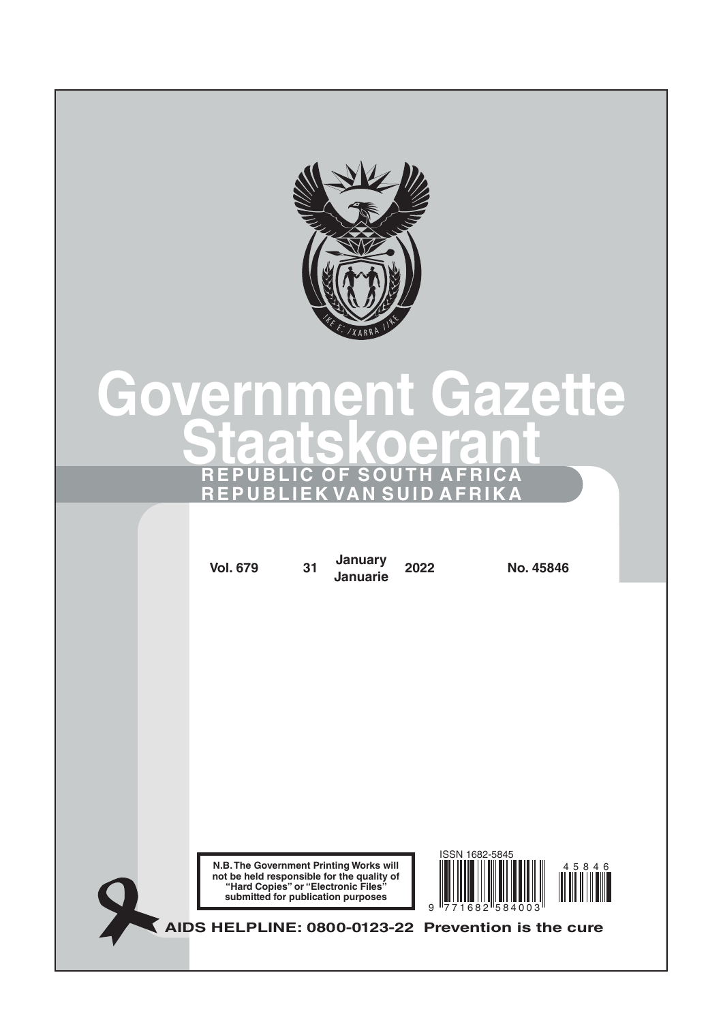

# **Government Gazette Staatskoerant REPUBLIC OF SOUTH AFRICA REPUBLIEK VAN SUID AFRIKA**

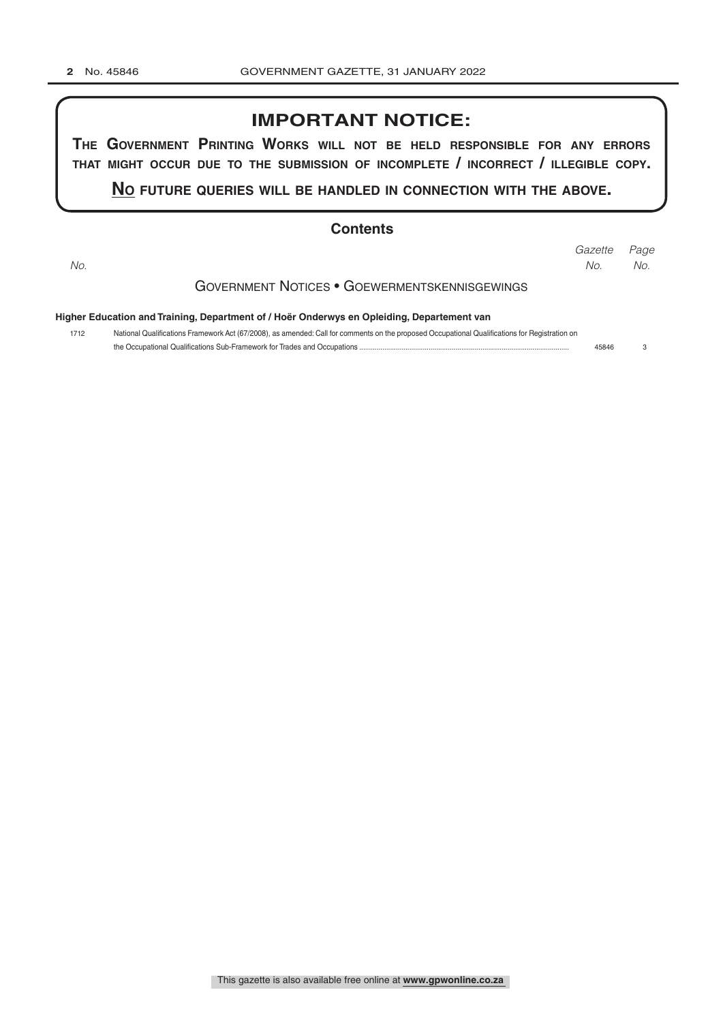## **IMPORTANT NOTICE:**

**The GovernmenT PrinTinG Works Will noT be held resPonsible for any errors ThaT miGhT occur due To The submission of incomPleTe / incorrecT / illeGible coPy.**

**no fuTure queries Will be handled in connecTion WiTh The above.**

### **Contents**

|                                               |                                                                                                                                                                                                                                                       | Gazette | Page |  |  |  |  |
|-----------------------------------------------|-------------------------------------------------------------------------------------------------------------------------------------------------------------------------------------------------------------------------------------------------------|---------|------|--|--|--|--|
| No.                                           |                                                                                                                                                                                                                                                       | No.     | No.  |  |  |  |  |
| GOVERNMENT NOTICES • GOEWERMENTSKENNISGEWINGS |                                                                                                                                                                                                                                                       |         |      |  |  |  |  |
|                                               | Higher Education and Training, Department of / Hoër Onderwys en Opleiding, Departement van<br>National Qualifications Framework Act (67/2008), as amended: Call for comments on the proposed Occupational Qualifications for Registration on<br>45846 |         |      |  |  |  |  |
| 1712                                          |                                                                                                                                                                                                                                                       |         |      |  |  |  |  |
|                                               |                                                                                                                                                                                                                                                       |         |      |  |  |  |  |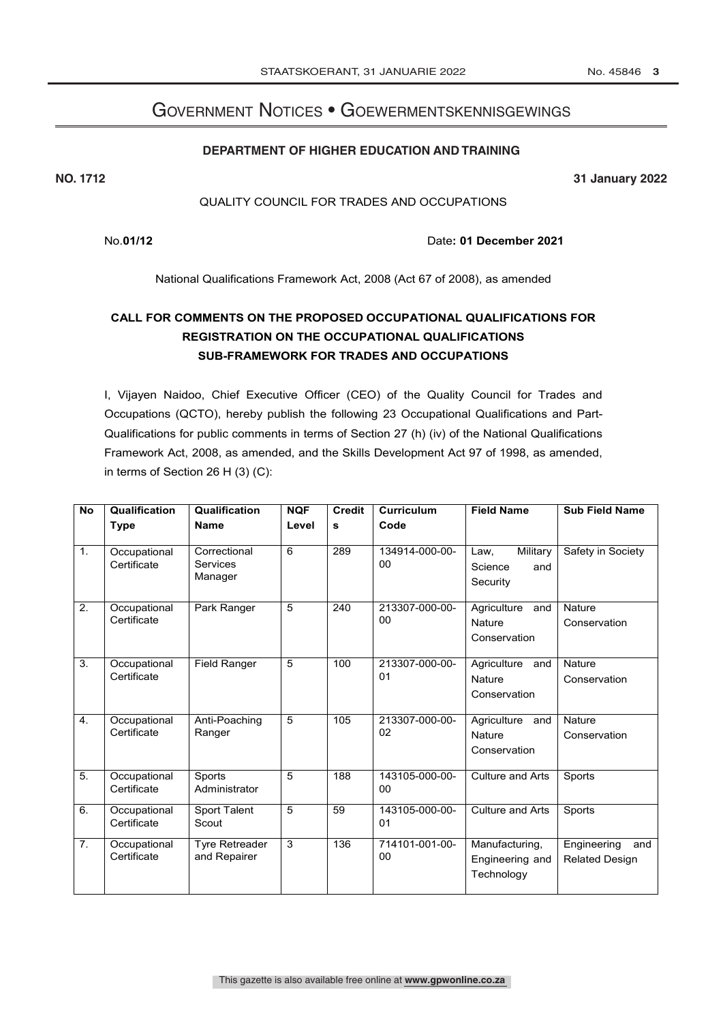## Government Notices • Goewermentskennisgewings

#### **DEPARTMENT OF HIGHER EDUCATION AND TRAINING**

**NO. 1712 31 January 2022**

#### QUALITY COUNCIL FOR TRADES AND OCCUPATIONS

No.**01/12** Date**: 01 December 2021**

National Qualifications Framework Act, 2008 (Act 67 of 2008), as amended

## **CALL FOR COMMENTS ON THE PROPOSED OCCUPATIONAL QUALIFICATIONS FOR REGISTRATION ON THE OCCUPATIONAL QUALIFICATIONS SUB-FRAMEWORK FOR TRADES AND OCCUPATIONS**

I, Vijayen Naidoo, Chief Executive Officer (CEO) of the Quality Council for Trades and Occupations (QCTO), hereby publish the following 23 Occupational Qualifications and Part-Qualifications for public comments in terms of Section 27 (h) (iv) of the National Qualifications Framework Act, 2008, as amended, and the Skills Development Act 97 of 1998, as amended, in terms of Section 26 H (3) (C):

| <b>No</b>        | Qualification               | Qualification                         | <b>NQF</b>     | <b>Credit</b> | <b>Curriculum</b>    | <b>Field Name</b>                                   | <b>Sub Field Name</b>                       |
|------------------|-----------------------------|---------------------------------------|----------------|---------------|----------------------|-----------------------------------------------------|---------------------------------------------|
|                  | <b>Type</b>                 | <b>Name</b>                           | Level          | s             | Code                 |                                                     |                                             |
| 1.               | Occupational<br>Certificate | Correctional<br>Services<br>Manager   | 6              | 289           | 134914-000-00-<br>00 | Military<br>Law,<br>Science<br>and<br>Security      | Safety in Society                           |
| 2.               | Occupational<br>Certificate | Park Ranger                           | 5              | 240           | 213307-000-00-<br>00 | Agriculture<br>and<br>Nature<br>Conservation        | Nature<br>Conservation                      |
| 3.               | Occupational<br>Certificate | Field Ranger                          | 5              | 100           | 213307-000-00-<br>01 | Agriculture<br>and<br>Nature<br>Conservation        | Nature<br>Conservation                      |
| 4.               | Occupational<br>Certificate | Anti-Poaching<br>Ranger               | $\overline{5}$ | 105           | 213307-000-00-<br>02 | Agriculture<br>and<br><b>Nature</b><br>Conservation | <b>Nature</b><br>Conservation               |
| $\overline{5}$ . | Occupational<br>Certificate | Sports<br>Administrator               | $\overline{5}$ | 188           | 143105-000-00-<br>00 | <b>Culture and Arts</b>                             | Sports                                      |
| 6.               | Occupational<br>Certificate | Sport Talent<br>Scout                 | 5              | 59            | 143105-000-00-<br>01 | <b>Culture and Arts</b>                             | Sports                                      |
| $\overline{7}$ . | Occupational<br>Certificate | <b>Tyre Retreader</b><br>and Repairer | 3              | 136           | 714101-001-00-<br>00 | Manufacturing,<br>Engineering and<br>Technology     | Engineering<br>and<br><b>Related Design</b> |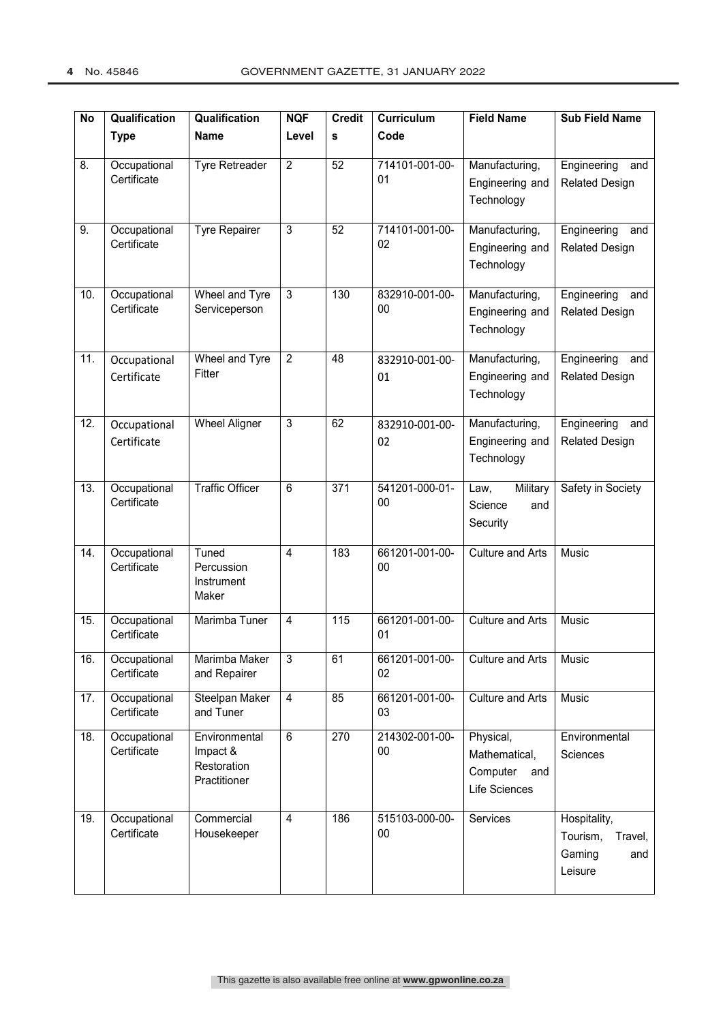| No                | Qualification               | Qualification                                            | <b>NQF</b>              | <b>Credit</b>   | Curriculum               | <b>Field Name</b>                                              | <b>Sub Field Name</b>                                           |
|-------------------|-----------------------------|----------------------------------------------------------|-------------------------|-----------------|--------------------------|----------------------------------------------------------------|-----------------------------------------------------------------|
|                   | <b>Type</b>                 | <b>Name</b>                                              | Level                   | s               | Code                     |                                                                |                                                                 |
| 8.                | Occupational<br>Certificate | Tyre Retreader                                           | $\overline{2}$          | 52              | 714101-001-00-<br>01     | Manufacturing,<br>Engineering and<br>Technology                | Engineering<br>and<br><b>Related Design</b>                     |
| 9.                | Occupational<br>Certificate | Tyre Repairer                                            | $\overline{3}$          | $\overline{52}$ | 714101-001-00-<br>02     | Manufacturing,<br>Engineering and<br>Technology                | Engineering<br>and<br><b>Related Design</b>                     |
| 10.               | Occupational<br>Certificate | Wheel and Tyre<br>Serviceperson                          | $\overline{3}$          | 130             | 832910-001-00-<br>$00\,$ | Manufacturing,<br>Engineering and<br>Technology                | Engineering<br>and<br><b>Related Design</b>                     |
| $\overline{11}$ . | Occupational<br>Certificate | Wheel and Tyre<br>Fitter                                 | $\overline{2}$          | 48              | 832910-001-00-<br>01     | Manufacturing,<br>Engineering and<br>Technology                | Engineering<br>and<br><b>Related Design</b>                     |
| $\overline{12}$ . | Occupational<br>Certificate | <b>Wheel Aligner</b>                                     | $\overline{3}$          | 62              | 832910-001-00-<br>02     | Manufacturing,<br>Engineering and<br>Technology                | Engineering<br>and<br><b>Related Design</b>                     |
| 13.               | Occupational<br>Certificate | <b>Traffic Officer</b>                                   | 6                       | 371             | 541201-000-01-<br>00     | Military<br>Law,<br>Science<br>and<br>Security                 | Safety in Society                                               |
| 14.               | Occupational<br>Certificate | Tuned<br>Percussion<br>Instrument<br>Maker               | $\overline{4}$          | 183             | 661201-001-00-<br>00     | <b>Culture and Arts</b>                                        | Music                                                           |
| 15.               | Occupational<br>Certificate | Marimba Tuner                                            | $\overline{\mathbf{4}}$ | 115             | 661201-001-00-<br>01     | Culture and Arts                                               | Music                                                           |
| 16.               | Occupational<br>Certificate | Marimba Maker<br>and Repairer                            | 3                       | 61              | 661201-001-00-<br>02     | Culture and Arts                                               | Music                                                           |
| 17.               | Occupational<br>Certificate | Steelpan Maker<br>and Tuner                              | $\overline{\mathbf{4}}$ | 85              | 661201-001-00-<br>03     | <b>Culture and Arts</b>                                        | Music                                                           |
| 18.               | Occupational<br>Certificate | Environmental<br>Impact &<br>Restoration<br>Practitioner | 6                       | 270             | 214302-001-00-<br>00     | Physical,<br>Mathematical,<br>Computer<br>and<br>Life Sciences | Environmental<br>Sciences                                       |
| 19.               | Occupational<br>Certificate | Commercial<br>Housekeeper                                | $\overline{4}$          | 186             | 515103-000-00-<br>$00\,$ | Services                                                       | Hospitality,<br>Tourism,<br>Travel,<br>Gaming<br>and<br>Leisure |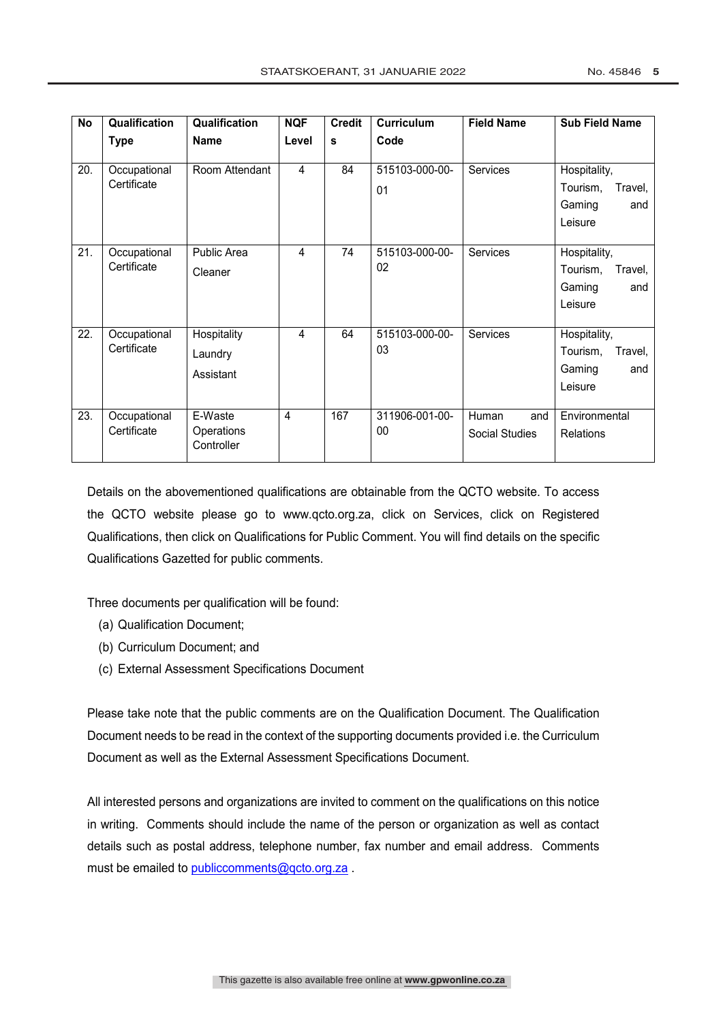| <b>No</b> | Qualification               | Qualification                       | <b>NQF</b>     | <b>Credit</b> | <b>Curriculum</b>    | <b>Field Name</b>              | <b>Sub Field Name</b>                                           |
|-----------|-----------------------------|-------------------------------------|----------------|---------------|----------------------|--------------------------------|-----------------------------------------------------------------|
|           | <b>Type</b>                 | <b>Name</b>                         | Level          | s             | Code                 |                                |                                                                 |
| 20.       | Occupational<br>Certificate | Room Attendant                      | $\overline{4}$ | 84            | 515103-000-00-<br>01 | <b>Services</b>                | Hospitality,<br>Tourism,<br>Travel,<br>Gaming<br>and<br>Leisure |
| 21.       | Occupational<br>Certificate | Public Area<br>Cleaner              | $\overline{4}$ | 74            | 515103-000-00-<br>02 | <b>Services</b>                | Hospitality,<br>Tourism,<br>Travel,<br>Gaming<br>and<br>Leisure |
| 22.       | Occupational<br>Certificate | Hospitality<br>Laundry<br>Assistant | $\overline{4}$ | 64            | 515103-000-00-<br>03 | <b>Services</b>                | Hospitality,<br>Tourism,<br>Travel,<br>Gaming<br>and<br>Leisure |
| 23.       | Occupational<br>Certificate | E-Waste<br>Operations<br>Controller | 4              | 167           | 311906-001-00-<br>00 | Human<br>and<br>Social Studies | Environmental<br><b>Relations</b>                               |

Details on the abovementioned qualifications are obtainable from the QCTO website. To access the QCTO website please go to www.qcto.org.za, click on Services, click on Registered Qualifications, then click on Qualifications for Public Comment. You will find details on the specific Qualifications Gazetted for public comments.

Three documents per qualification will be found:

- (a) Qualification Document;
- (b) Curriculum Document; and
- (c) External Assessment Specifications Document

Please take note that the public comments are on the Qualification Document. The Qualification Document needs to be read in the context of the supporting documents provided i.e. the Curriculum Document as well as the External Assessment Specifications Document.

All interested persons and organizations are invited to comment on the qualifications on this notice in writing. Comments should include the name of the person or organization as well as contact details such as postal address, telephone number, fax number and email address. Comments must be emailed to publiccomments@qcto.org.za .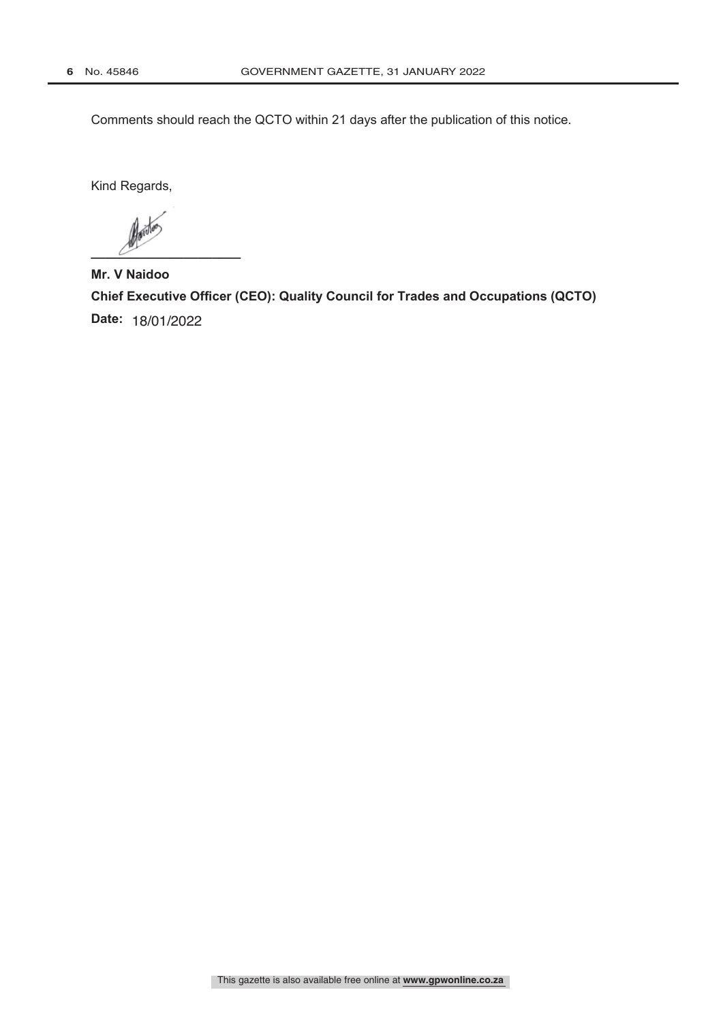Comments should reach the QCTO within 21 days after the publication of this notice.

Kind Regards,

 $\overline{\mathscr{C}}$ 

**Mr. V Naidoo Chief Executive Officer (CEO): Quality Council for Trades and Occupations (QCTO) Date:** 18/01/2022